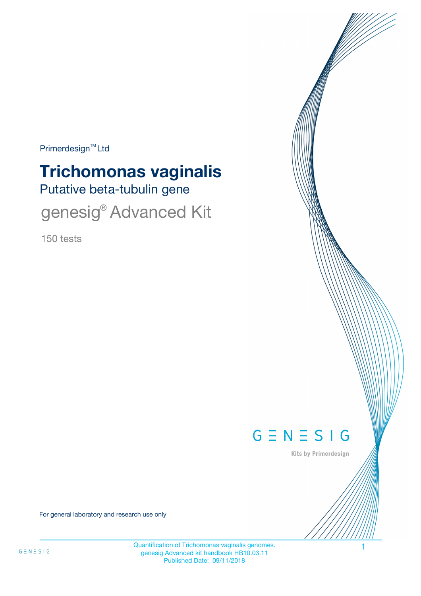Primerdesign<sup>™</sup>Ltd

# Putative beta-tubulin gene **Trichomonas vaginalis**

genesig<sup>®</sup> Advanced Kit

150 tests



Kits by Primerdesign

For general laboratory and research use only

Quantification of Trichomonas vaginalis genomes. 1 genesig Advanced kit handbook HB10.03.11 Published Date: 09/11/2018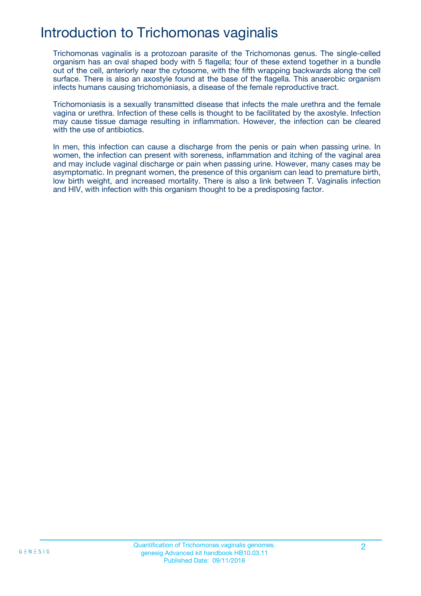## Introduction to Trichomonas vaginalis

Trichomonas vaginalis is a protozoan parasite of the Trichomonas genus. The single-celled organism has an oval shaped body with 5 flagella; four of these extend together in a bundle out of the cell, anteriorly near the cytosome, with the fifth wrapping backwards along the cell surface. There is also an axostyle found at the base of the flagella. This anaerobic organism infects humans causing trichomoniasis, a disease of the female reproductive tract.

Trichomoniasis is a sexually transmitted disease that infects the male urethra and the female vagina or urethra. Infection of these cells is thought to be facilitated by the axostyle. Infection may cause tissue damage resulting in inflammation. However, the infection can be cleared with the use of antibiotics.

In men, this infection can cause a discharge from the penis or pain when passing urine. In women, the infection can present with soreness, inflammation and itching of the vaginal area and may include vaginal discharge or pain when passing urine. However, many cases may be asymptomatic. In pregnant women, the presence of this organism can lead to premature birth, low birth weight, and increased mortality. There is also a link between T. Vaginalis infection and HIV, with infection with this organism thought to be a predisposing factor.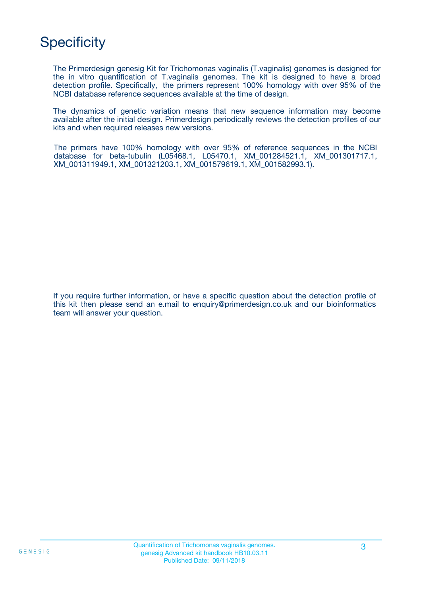# **Specificity**

The Primerdesign genesig Kit for Trichomonas vaginalis (T.vaginalis) genomes is designed for the in vitro quantification of T.vaginalis genomes. The kit is designed to have a broad detection profile. Specifically, the primers represent 100% homology with over 95% of the NCBI database reference sequences available at the time of design.

The dynamics of genetic variation means that new sequence information may become available after the initial design. Primerdesign periodically reviews the detection profiles of our kits and when required releases new versions.

The primers have 100% homology with over 95% of reference sequences in the NCBI database for beta-tubulin (L05468.1, L05470.1, XM\_001284521.1, XM\_001301717.1, XM\_001311949.1, XM\_001321203.1, XM\_001579619.1, XM\_001582993.1).

If you require further information, or have a specific question about the detection profile of this kit then please send an e.mail to enquiry@primerdesign.co.uk and our bioinformatics team will answer your question.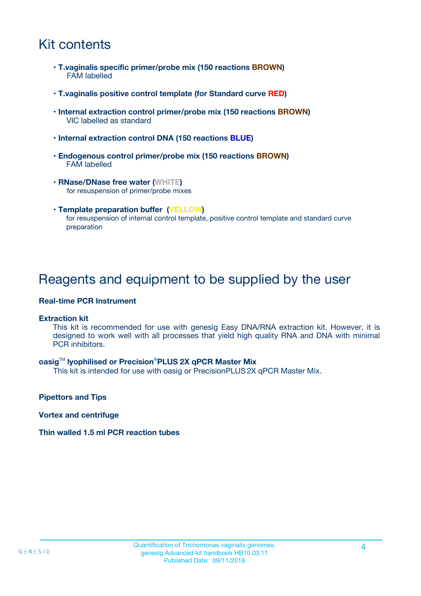## Kit contents

- **T.vaginalis specific primer/probe mix (150 reactions BROWN)** FAM labelled
- **T.vaginalis positive control template (for Standard curve RED)**
- **Internal extraction control primer/probe mix (150 reactions BROWN)** VIC labelled as standard
- **Internal extraction control DNA (150 reactions BLUE)**
- **Endogenous control primer/probe mix (150 reactions BROWN)** FAM labelled
- **RNase/DNase free water (WHITE)** for resuspension of primer/probe mixes
- **Template preparation buffer (YELLOW)** for resuspension of internal control template, positive control template and standard curve preparation

### Reagents and equipment to be supplied by the user

#### **Real-time PCR Instrument**

#### **Extraction kit**

This kit is recommended for use with genesig Easy DNA/RNA extraction kit. However, it is designed to work well with all processes that yield high quality RNA and DNA with minimal PCR inhibitors.

#### **oasig**TM **lyophilised or Precision**®**PLUS 2X qPCR Master Mix**

This kit is intended for use with oasig or PrecisionPLUS2X qPCR Master Mix.

**Pipettors and Tips**

**Vortex and centrifuge**

#### **Thin walled 1.5 ml PCR reaction tubes**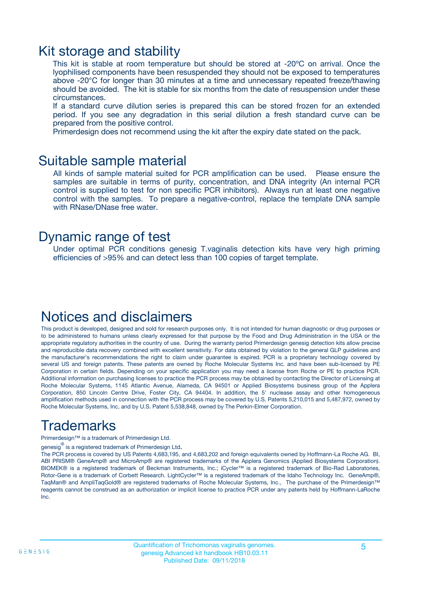### Kit storage and stability

This kit is stable at room temperature but should be stored at -20ºC on arrival. Once the lyophilised components have been resuspended they should not be exposed to temperatures above -20°C for longer than 30 minutes at a time and unnecessary repeated freeze/thawing should be avoided. The kit is stable for six months from the date of resuspension under these circumstances.

If a standard curve dilution series is prepared this can be stored frozen for an extended period. If you see any degradation in this serial dilution a fresh standard curve can be prepared from the positive control.

Primerdesign does not recommend using the kit after the expiry date stated on the pack.

### Suitable sample material

All kinds of sample material suited for PCR amplification can be used. Please ensure the samples are suitable in terms of purity, concentration, and DNA integrity (An internal PCR control is supplied to test for non specific PCR inhibitors). Always run at least one negative control with the samples. To prepare a negative-control, replace the template DNA sample with RNase/DNase free water.

### Dynamic range of test

Under optimal PCR conditions genesig T.vaginalis detection kits have very high priming efficiencies of >95% and can detect less than 100 copies of target template.

### Notices and disclaimers

This product is developed, designed and sold for research purposes only. It is not intended for human diagnostic or drug purposes or to be administered to humans unless clearly expressed for that purpose by the Food and Drug Administration in the USA or the appropriate regulatory authorities in the country of use. During the warranty period Primerdesign genesig detection kits allow precise and reproducible data recovery combined with excellent sensitivity. For data obtained by violation to the general GLP guidelines and the manufacturer's recommendations the right to claim under guarantee is expired. PCR is a proprietary technology covered by several US and foreign patents. These patents are owned by Roche Molecular Systems Inc. and have been sub-licensed by PE Corporation in certain fields. Depending on your specific application you may need a license from Roche or PE to practice PCR. Additional information on purchasing licenses to practice the PCR process may be obtained by contacting the Director of Licensing at Roche Molecular Systems, 1145 Atlantic Avenue, Alameda, CA 94501 or Applied Biosystems business group of the Applera Corporation, 850 Lincoln Centre Drive, Foster City, CA 94404. In addition, the 5' nuclease assay and other homogeneous amplification methods used in connection with the PCR process may be covered by U.S. Patents 5,210,015 and 5,487,972, owned by Roche Molecular Systems, Inc, and by U.S. Patent 5,538,848, owned by The Perkin-Elmer Corporation.

## Trademarks

Primerdesign™ is a trademark of Primerdesign Ltd.

genesig $^\circledR$  is a registered trademark of Primerdesign Ltd.

The PCR process is covered by US Patents 4,683,195, and 4,683,202 and foreign equivalents owned by Hoffmann-La Roche AG. BI, ABI PRISM® GeneAmp® and MicroAmp® are registered trademarks of the Applera Genomics (Applied Biosystems Corporation). BIOMEK® is a registered trademark of Beckman Instruments, Inc.; iCycler™ is a registered trademark of Bio-Rad Laboratories, Rotor-Gene is a trademark of Corbett Research. LightCycler™ is a registered trademark of the Idaho Technology Inc. GeneAmp®, TaqMan® and AmpliTaqGold® are registered trademarks of Roche Molecular Systems, Inc., The purchase of the Primerdesign™ reagents cannot be construed as an authorization or implicit license to practice PCR under any patents held by Hoffmann-LaRoche Inc.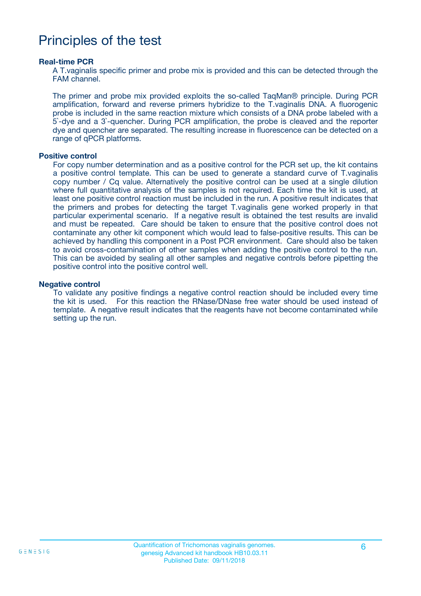### Principles of the test

#### **Real-time PCR**

A T.vaginalis specific primer and probe mix is provided and this can be detected through the FAM channel.

The primer and probe mix provided exploits the so-called TaqMan® principle. During PCR amplification, forward and reverse primers hybridize to the T.vaginalis DNA. A fluorogenic probe is included in the same reaction mixture which consists of a DNA probe labeled with a 5`-dye and a 3`-quencher. During PCR amplification, the probe is cleaved and the reporter dye and quencher are separated. The resulting increase in fluorescence can be detected on a range of qPCR platforms.

#### **Positive control**

For copy number determination and as a positive control for the PCR set up, the kit contains a positive control template. This can be used to generate a standard curve of T.vaginalis copy number / Cq value. Alternatively the positive control can be used at a single dilution where full quantitative analysis of the samples is not required. Each time the kit is used, at least one positive control reaction must be included in the run. A positive result indicates that the primers and probes for detecting the target T.vaginalis gene worked properly in that particular experimental scenario. If a negative result is obtained the test results are invalid and must be repeated. Care should be taken to ensure that the positive control does not contaminate any other kit component which would lead to false-positive results. This can be achieved by handling this component in a Post PCR environment. Care should also be taken to avoid cross-contamination of other samples when adding the positive control to the run. This can be avoided by sealing all other samples and negative controls before pipetting the positive control into the positive control well.

#### **Negative control**

To validate any positive findings a negative control reaction should be included every time the kit is used. For this reaction the RNase/DNase free water should be used instead of template. A negative result indicates that the reagents have not become contaminated while setting up the run.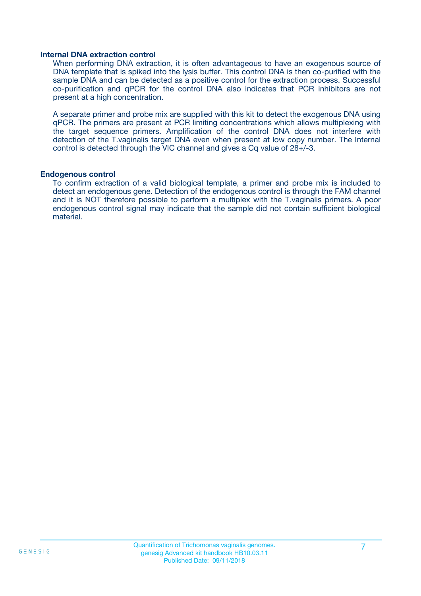#### **Internal DNA extraction control**

When performing DNA extraction, it is often advantageous to have an exogenous source of DNA template that is spiked into the lysis buffer. This control DNA is then co-purified with the sample DNA and can be detected as a positive control for the extraction process. Successful co-purification and qPCR for the control DNA also indicates that PCR inhibitors are not present at a high concentration.

A separate primer and probe mix are supplied with this kit to detect the exogenous DNA using qPCR. The primers are present at PCR limiting concentrations which allows multiplexing with the target sequence primers. Amplification of the control DNA does not interfere with detection of the T.vaginalis target DNA even when present at low copy number. The Internal control is detected through the VIC channel and gives a Cq value of 28+/-3.

#### **Endogenous control**

To confirm extraction of a valid biological template, a primer and probe mix is included to detect an endogenous gene. Detection of the endogenous control is through the FAM channel and it is NOT therefore possible to perform a multiplex with the T.vaginalis primers. A poor endogenous control signal may indicate that the sample did not contain sufficient biological material.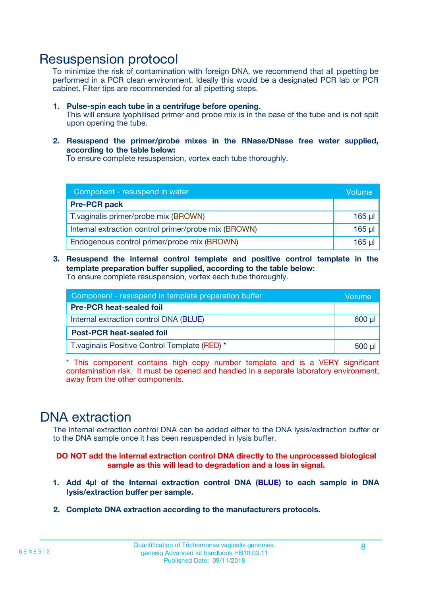### Resuspension protocol

To minimize the risk of contamination with foreign DNA, we recommend that all pipetting be performed in a PCR clean environment. Ideally this would be a designated PCR lab or PCR cabinet. Filter tips are recommended for all pipetting steps.

- **1. Pulse-spin each tube in a centrifuge before opening.** This will ensure lyophilised primer and probe mix is in the base of the tube and is not spilt upon opening the tube.
- **2. Resuspend the primer/probe mixes in the RNase/DNase free water supplied, according to the table below:**

To ensure complete resuspension, vortex each tube thoroughly.

| Component - resuspend in water                       |          |  |
|------------------------------------------------------|----------|--|
| <b>Pre-PCR pack</b>                                  |          |  |
| T. vaginalis primer/probe mix (BROWN)                | $165$ µl |  |
| Internal extraction control primer/probe mix (BROWN) | $165$ µl |  |
| Endogenous control primer/probe mix (BROWN)          | 165 µl   |  |

**3. Resuspend the internal control template and positive control template in the template preparation buffer supplied, according to the table below:** To ensure complete resuspension, vortex each tube thoroughly.

| Component - resuspend in template preparation buffer |  |  |  |
|------------------------------------------------------|--|--|--|
| <b>Pre-PCR heat-sealed foil</b>                      |  |  |  |
| Internal extraction control DNA (BLUE)               |  |  |  |
| <b>Post-PCR heat-sealed foil</b>                     |  |  |  |
| T. vaginalis Positive Control Template (RED) *       |  |  |  |

\* This component contains high copy number template and is a VERY significant contamination risk. It must be opened and handled in a separate laboratory environment, away from the other components.

### DNA extraction

The internal extraction control DNA can be added either to the DNA lysis/extraction buffer or to the DNA sample once it has been resuspended in lysis buffer.

**DO NOT add the internal extraction control DNA directly to the unprocessed biological sample as this will lead to degradation and a loss in signal.**

- **1. Add 4µl of the Internal extraction control DNA (BLUE) to each sample in DNA lysis/extraction buffer per sample.**
- **2. Complete DNA extraction according to the manufacturers protocols.**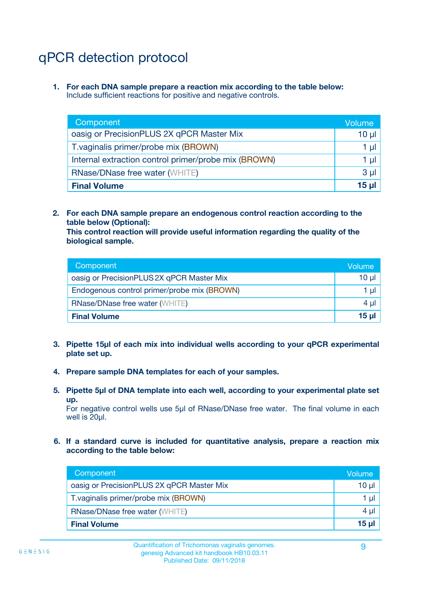# qPCR detection protocol

**1. For each DNA sample prepare a reaction mix according to the table below:** Include sufficient reactions for positive and negative controls.

| Component                                            | Volume   |
|------------------------------------------------------|----------|
| oasig or PrecisionPLUS 2X qPCR Master Mix            | $10 \mu$ |
| T. vaginalis primer/probe mix (BROWN)                | 1 µI     |
| Internal extraction control primer/probe mix (BROWN) | 1 µl     |
| <b>RNase/DNase free water (WHITE)</b>                | $3 \mu$  |
| <b>Final Volume</b>                                  | 15 µl    |

**2. For each DNA sample prepare an endogenous control reaction according to the table below (Optional):**

**This control reaction will provide useful information regarding the quality of the biological sample.**

| Component                                   | Volume   |
|---------------------------------------------|----------|
| oasig or PrecisionPLUS 2X qPCR Master Mix   | $10 \mu$ |
| Endogenous control primer/probe mix (BROWN) | 1 µI     |
| <b>RNase/DNase free water (WHITE)</b>       | $4 \mu$  |
| <b>Final Volume</b>                         | 15 µl    |

- **3. Pipette 15µl of each mix into individual wells according to your qPCR experimental plate set up.**
- **4. Prepare sample DNA templates for each of your samples.**
- **5. Pipette 5µl of DNA template into each well, according to your experimental plate set up.**

For negative control wells use 5µl of RNase/DNase free water. The final volume in each well is 20ul.

**6. If a standard curve is included for quantitative analysis, prepare a reaction mix according to the table below:**

| Component                                 | Volume          |
|-------------------------------------------|-----------------|
| oasig or PrecisionPLUS 2X qPCR Master Mix | 10 µl           |
| T. vaginalis primer/probe mix (BROWN)     |                 |
| <b>RNase/DNase free water (WHITE)</b>     | $4 \mu$         |
| <b>Final Volume</b>                       | 15 <sub>µ</sub> |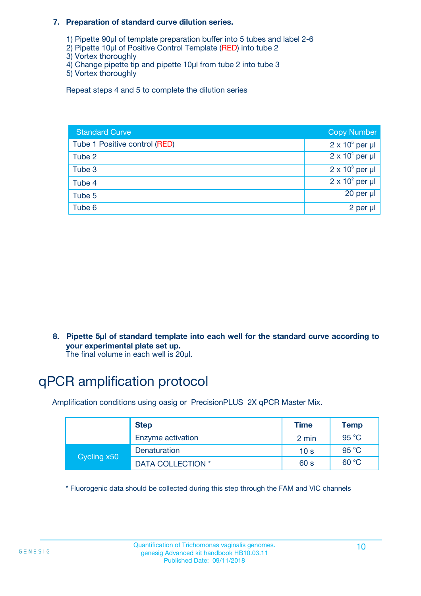#### **7. Preparation of standard curve dilution series.**

- 1) Pipette 90µl of template preparation buffer into 5 tubes and label 2-6
- 2) Pipette 10µl of Positive Control Template (RED) into tube 2
- 3) Vortex thoroughly
- 4) Change pipette tip and pipette 10µl from tube 2 into tube 3
- 5) Vortex thoroughly

Repeat steps 4 and 5 to complete the dilution series

| <b>Standard Curve</b>         | <b>Copy Number</b>     |
|-------------------------------|------------------------|
| Tube 1 Positive control (RED) | $2 \times 10^5$ per µl |
| Tube 2                        | $2 \times 10^4$ per µl |
| Tube 3                        | $2 \times 10^3$ per µl |
| Tube 4                        | $2 \times 10^2$ per µl |
| Tube 5                        | 20 per µl              |
| Tube 6                        | 2 per µl               |

**8. Pipette 5µl of standard template into each well for the standard curve according to your experimental plate set up.**

#### The final volume in each well is 20µl.

## qPCR amplification protocol

Amplification conditions using oasig or PrecisionPLUS 2X qPCR Master Mix.

|             | <b>Step</b>       | <b>Time</b>     | Temp    |
|-------------|-------------------|-----------------|---------|
|             | Enzyme activation | 2 min           | 95 °C   |
| Cycling x50 | Denaturation      | 10 <sub>s</sub> | 95 $°C$ |
|             | DATA COLLECTION * | 60 s            | 60 °C   |

\* Fluorogenic data should be collected during this step through the FAM and VIC channels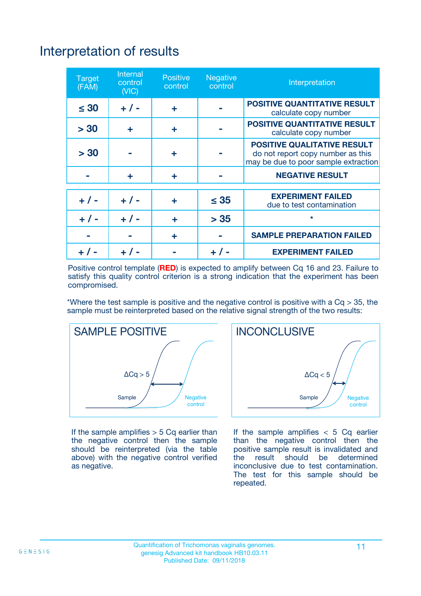# Interpretation of results

| <b>Target</b><br>(FAM) | <b>Internal</b><br>control<br>(NIC) | <b>Positive</b><br>control | <b>Negative</b><br>control | Interpretation                                                                                                  |
|------------------------|-------------------------------------|----------------------------|----------------------------|-----------------------------------------------------------------------------------------------------------------|
| $\leq 30$              | $+ 1 -$                             | ÷                          |                            | <b>POSITIVE QUANTITATIVE RESULT</b><br>calculate copy number                                                    |
| > 30                   | ٠                                   | ÷                          |                            | <b>POSITIVE QUANTITATIVE RESULT</b><br>calculate copy number                                                    |
| > 30                   |                                     | ÷                          |                            | <b>POSITIVE QUALITATIVE RESULT</b><br>do not report copy number as this<br>may be due to poor sample extraction |
|                        | ÷                                   | ÷                          |                            | <b>NEGATIVE RESULT</b>                                                                                          |
| $+ 1 -$                | $+ 1 -$                             | ÷                          | $\leq$ 35                  | <b>EXPERIMENT FAILED</b><br>due to test contamination                                                           |
| $+$ / -                | $+ 1 -$                             | ÷                          | > 35                       | $\star$                                                                                                         |
|                        |                                     | ÷                          |                            | <b>SAMPLE PREPARATION FAILED</b>                                                                                |
|                        |                                     |                            | $+$ /                      | <b>EXPERIMENT FAILED</b>                                                                                        |

Positive control template (**RED**) is expected to amplify between Cq 16 and 23. Failure to satisfy this quality control criterion is a strong indication that the experiment has been compromised.

\*Where the test sample is positive and the negative control is positive with a  $Ca > 35$ , the sample must be reinterpreted based on the relative signal strength of the two results:



If the sample amplifies  $> 5$  Cq earlier than the negative control then the sample should be reinterpreted (via the table above) with the negative control verified as negative.



If the sample amplifies  $< 5$  Cq earlier than the negative control then the positive sample result is invalidated and<br>the result should be determined  $the$  result should be inconclusive due to test contamination. The test for this sample should be repeated.